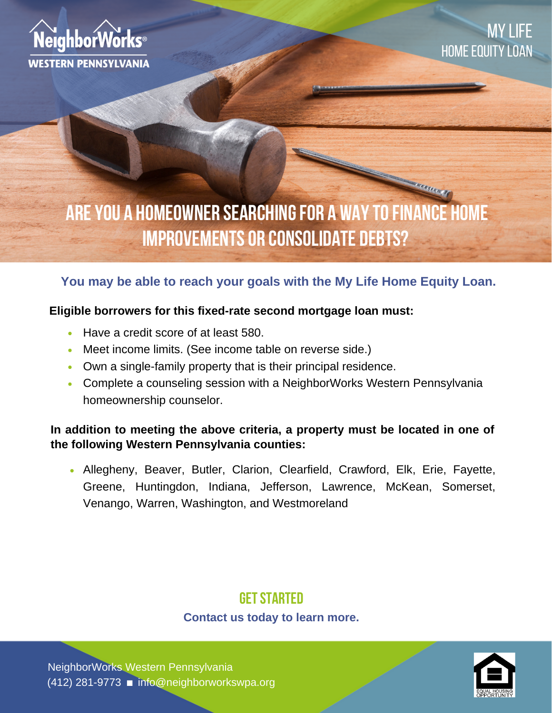

# **ARE YOU A HOMEOWNER SEARCHING FOR A WAY TO FINANCE HOME IMPROVEMENTS OR CONSOLIDATE DEBTS?**

# **You may be able to reach your goals with the My Life Home Equity Loan.**

### **Eligible borrowers for this fixed-rate second mortgage loan must:**

- Have a credit score of at least 580.
- Meet income limits. (See income table on reverse side.)
- Own a single-family property that is their principal residence.
- Complete a counseling session with a NeighborWorks Western Pennsylvania homeownership counselor.

## **In addition to meeting the above criteria, a property must be located in one of the following Western Pennsylvania counties:**

Allegheny, Beaver, Butler, Clarion, Clearfield, Crawford, Elk, Erie, Fayette, Greene, Huntingdon, Indiana, Jefferson, Lawrence, McKean, Somerset, Venango, Warren, Washington, and Westmoreland

# **GET STARTED**

### **Contact us today to learn more.**

(412) 281-9773 ninfo@neighborworkswpa.org NeighborWorks Western Pennsylvania